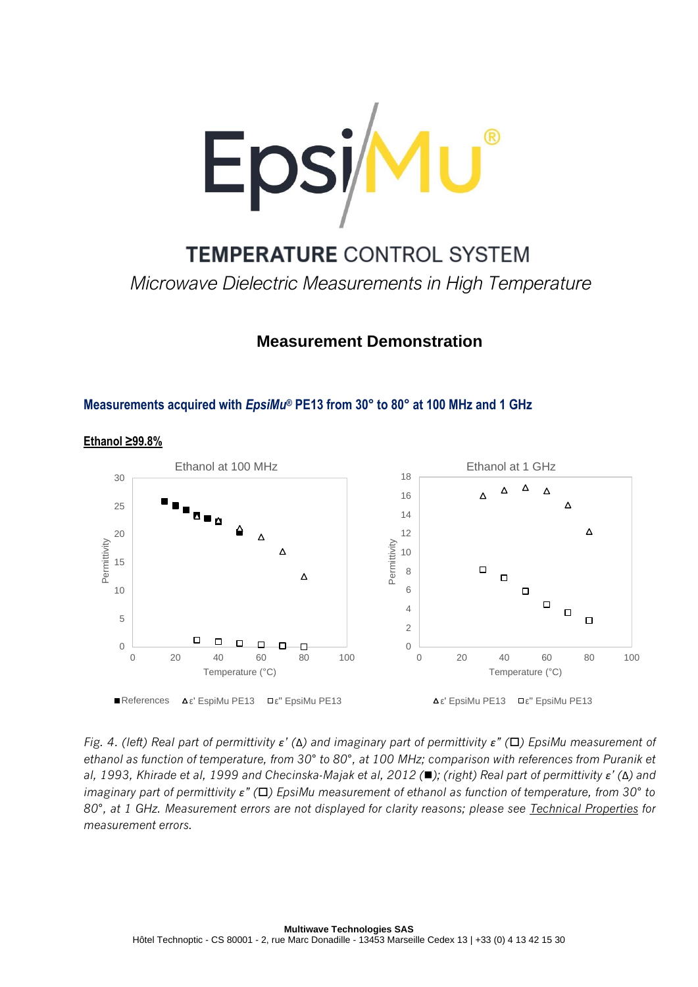

**TEMPERATURE CONTROL SYSTEM** *Microwave Dielectric Measurements in High Temperature*

# **Measurement Demonstration**

## **Measurements acquired with** *EpsiMu®* **PE13 from 30° to 80° at 100 MHz and 1 GHz**



**Ethanol ≥99.8%**

*Fig. 4. (left) Real part of permittivity ε' (*Δ*) and imaginary part of permittivity ε" () EpsiMu measurement of ethanol as function of temperature, from 30° to 80°, at 100 MHz; comparison with references from Puranik et al, 1993, Khirade et al, 1999 and Checinska-Majak et al, 2012 (*◼*); (right) Real part of permittivity ε' (*Δ*) and imaginary part of permittivity ε" () EpsiMu measurement of ethanol as function of temperature, from 30° to 80°, at 1 GHz. Measurement errors are not displayed for clarity reasons; please see Technical Properties for measurement errors.*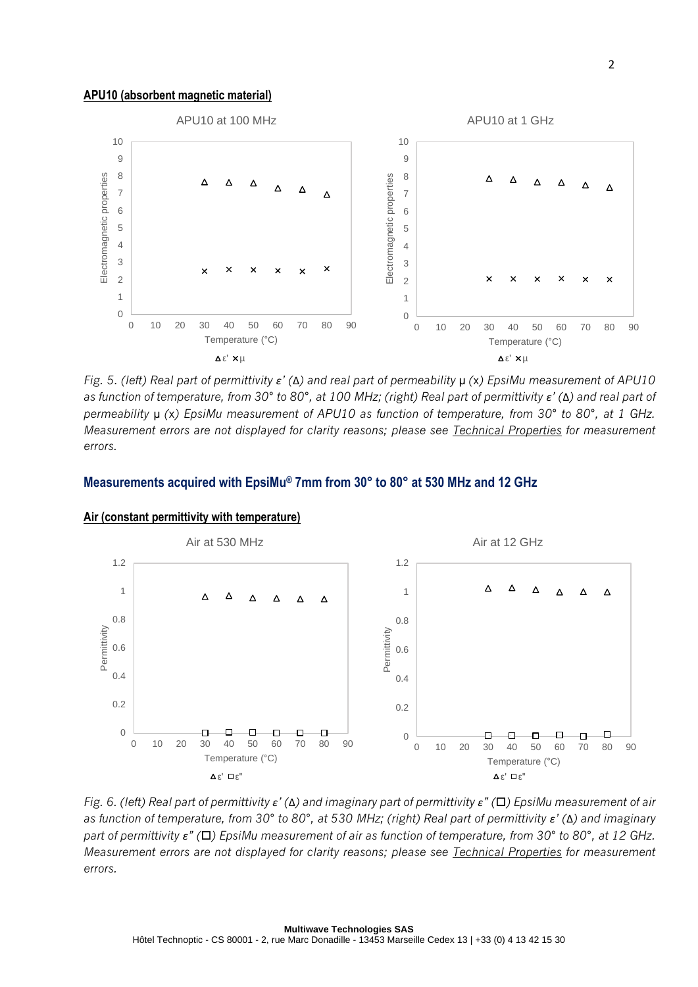### **APU10 (absorbent magnetic material)**



*Fig. 5. (left) Real part of permittivity ε' (*Δ*) and real part of permeability* µ *(*x*) EpsiMu measurement of APU10 as function of temperature, from 30° to 80°, at 100 MHz; (right) Real part of permittivity ε' (*Δ*) and real part of permeability* µ *(*x*) EpsiMu measurement of APU10 as function of temperature, from 30° to 80°, at 1 GHz. Measurement errors are not displayed for clarity reasons; please see Technical Properties for measurement errors.*

## **Measurements acquired with EpsiMu® 7mm from 30° to 80° at 530 MHz and 12 GHz**



#### **Air (constant permittivity with temperature)**

*Fig. 6. (left) Real part of permittivity ε' (*Δ*) and imaginary part of permittivity ε" () EpsiMu measurement of air as function of temperature, from 30° to 80°, at 530 MHz; (right) Real part of permittivity ε' (*Δ*) and imaginary part of permittivity ε" () EpsiMu measurement of air as function of temperature, from 30° to 80°, at 12 GHz. Measurement errors are not displayed for clarity reasons; please see Technical Properties for measurement errors.*